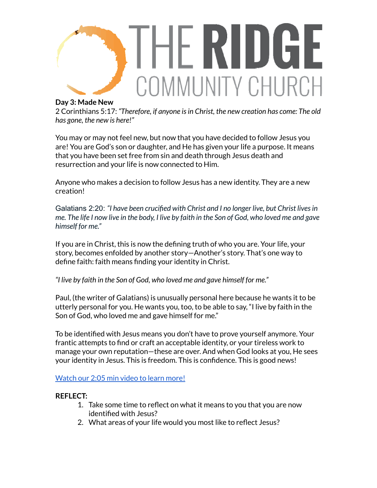

## **Day 3: Made New**

2 Corinthians 5:17: *"Therefore, if anyone isin Christ, the new creation has come: The old has gone, the new is here!"*

You may or may not feel new, but now that you have decided to follow Jesus you are! You are God's son or daughter, and He has given your life a purpose. It means that you have been set free from sin and death through Jesus death and resurrection and your life is now connected to Him.

Anyone who makes a decision to follow Jesus has a new identity. They are a new creation!

Galatians 2:20: *"I have been crucified with Christ and I no longer live, but Christ livesin* me. The life I now live in the body, I live by faith in the Son of God, who loved me and gave *himself for me."*

If you are in Christ, this is now the defining truth of who you are. Your life, your story, becomes enfolded by another story—Another's story. That's one way to define faith: faith means finding your identity in Christ.

*"I live by faith in the Son of God, who loved me and gave himself for me."*

Paul, (the writer of Galatians) is unusually personal here because he wants it to be utterly personal for you. He wants you, too, to be able to say, "I live by faith in the Son of God, who loved me and gave himself for me."

To be identified with Jesus means you don't have to prove yourself anymore. Your frantic attempts to find or craft an acceptable identity, or your tireless work to manage your own reputation—these are over. And when God looks at you, He sees your identity in Jesus. This is freedom. This is confidence. This is good news!

[Watch](https://youtu.be/pDDFrqQYCHE) our 2:05 min video to learn more!

## **REFLECT:**

- 1. Take some time to reflect on what it means to you that you are now identified with Jesus?
- 2. What areas of your life would you most like to reflect Jesus?